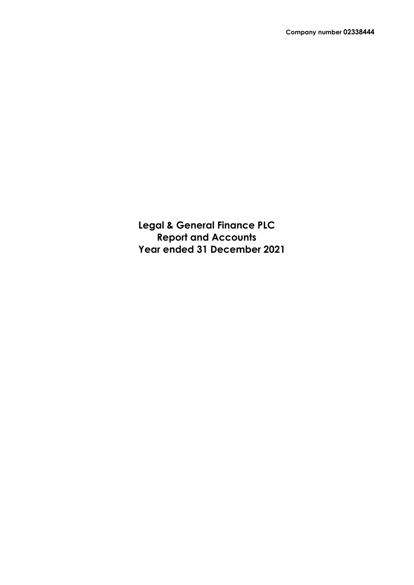**Legal & General Finance PLC Report and Accounts Year ended 31 December 2021**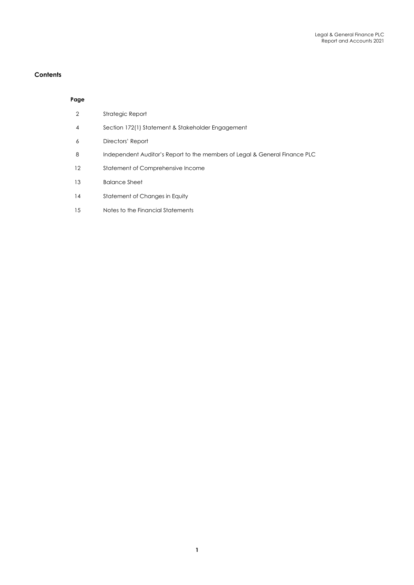# **Contents**

# **Page**

| $\mathcal{P}$ | Strategic Report                                                           |
|---------------|----------------------------------------------------------------------------|
| 4             | Section 172(1) Statement & Stakeholder Engagement                          |
| 6             | Directors' Report                                                          |
| 8             | Independent Auditor's Report to the members of Legal & General Finance PLC |
| 12            | Statement of Comprehensive Income                                          |
| 13            | <b>Balance Sheet</b>                                                       |
| 14            | Statement of Changes in Equity                                             |
| 15            | Notes to the Financial Statements                                          |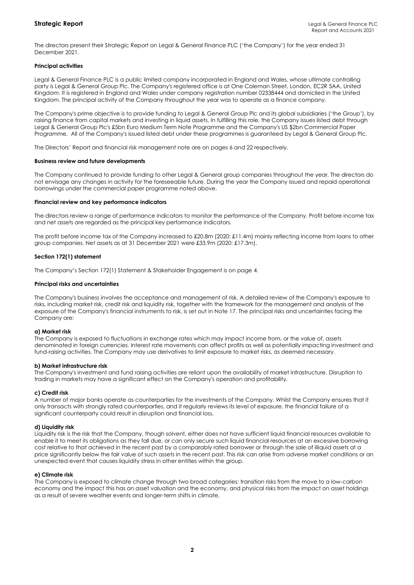The directors present their Strategic Report on Legal & General Finance PLC ('the Company') for the year ended 31 December 2021.

# **Principal activities**

Legal & General Finance PLC is a public limited company incorporated in England and Wales, whose ultimate controlling party is Legal & General Group Plc. The Company's registered office is at One Coleman Street, London, EC2R 5AA, United Kingdom. It is registered in England and Wales under company registration number 02338444 and domiciled in the United Kingdom. The principal activity of the Company throughout the year was to operate as a finance company.

The Company's prime objective is to provide funding to Legal & General Group Plc and its global subsidiaries ('the Group'), by raising finance from capital markets and investing in liquid assets. In fulfilling this role, the Company issues listed debt through Legal & General Group Plc's £5bn Euro Medium Term Note Programme and the Company's US \$2bn Commercial Paper Programme. All of the Company's issued listed debt under these programmes is guaranteed by Legal & General Group Plc.

The Directors' Report and financial risk management note are on pages 6 and 22 respectively.

#### **Business review and future developments**

The Company continued to provide funding to other Legal & General group companies throughout the year. The directors do not envisage any changes in activity for the foreseeable future. During the year the Company issued and repaid operational borrowings under the commercial paper programme noted above.

#### **Financial review and key performance indicators**

The directors review a range of performance indicators to monitor the performance of the Company. Profit before income tax and net assets are regarded as the principal key performance indicators.

The profit before income tax of the Company increased to £20.8m (2020: £11.4m) mainly reflecting income from loans to other group companies. Net assets as at 31 December 2021 were £33.9m (2020: £17.3m).

#### **Section 172(1) statement**

The Company's Section 172(1) Statement & Stakeholder Engagement is on page 4.

#### **Principal risks and uncertainties**

The Company's business involves the acceptance and management of risk. A detailed review of the Company's exposure to risks, including market risk, credit risk and liquidity risk, together with the framework for the management and analysis of the exposure of the Company's financial instruments to risk, is set out in Note 17. The principal risks and uncertainties facing the Company are:

#### **a) Market risk**

The Company is exposed to fluctuations in exchange rates which may impact income from, or the value of, assets denominated in foreign currencies. Interest rate movements can affect profits as well as potentially impacting investment and fund-raising activities. The Company may use derivatives to limit exposure to market risks, as deemed necessary.

#### **b) Market infrastructure risk**

The Company's investment and fund raising activities are reliant upon the availability of market infrastructure. Disruption to trading in markets may have a significant effect on the Company's operation and profitability.

#### **c) Credit risk**

A number of major banks operate as counterparties for the investments of the Company. Whilst the Company ensures that it only transacts with strongly rated counterparties, and it regularly reviews its level of exposure, the financial failure of a significant counterparty could result in disruption and financial loss.

#### **d) Liquidity risk**

Liquidity risk is the risk that the Company, though solvent, either does not have sufficient liquid financial resources available to enable it to meet its obligations as they fall due, or can only secure such liquid financial resources at an excessive borrowing cost relative to that achieved in the recent past by a comparably rated borrower or through the sale of illiquid assets at a price significantly below the fair value of such assets in the recent past. This risk can arise from adverse market conditions or an unexpected event that causes liquidity stress in other entities within the group.

# **e) Climate risk**

The Company is exposed to climate change through two broad categories: transition risks from the move to a low-carbon economy and the impact this has on asset valuation and the economy, and physical risks from the impact on asset holdings as a result of severe weather events and longer-term shifts in climate.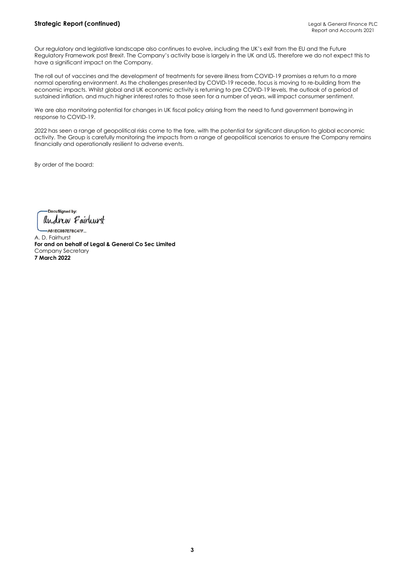Our regulatory and legislative landscape also continues to evolve, including the UK's exit from the EU and the Future Regulatory Framework post Brexit. The Company's activity base is largely in the UK and US, therefore we do not expect this to have a significant impact on the Company.

The roll out of vaccines and the development of treatments for severe illness from COVID-19 promises a return to a more normal operating environment. As the challenges presented by COVID-19 recede, focus is moving to re-building from the economic impacts. Whilst global and UK economic activity is returning to pre COVID-19 levels, the outlook of a period of sustained inflation, and much higher interest rates to those seen for a number of years, will impact consumer sentiment.

We are also monitoring potential for changes in UK fiscal policy arising from the need to fund government borrowing in response to COVID-19.

2022 has seen a range of geopolitical risks come to the fore, with the potential for significant disruption to global economic activity. The Group is carefully monitoring the impacts from a range of geopolitical scenarios to ensure the Company remains financially and operationally resilient to adverse events.

By order of the board:

-DocuSianed by: andrew Fairleurst

-A81EC9B7E7BC47F... A. D. Fairhurst **For and on behalf of Legal & General Co Sec Limited** Company Secretary **7 March 2022**

**3**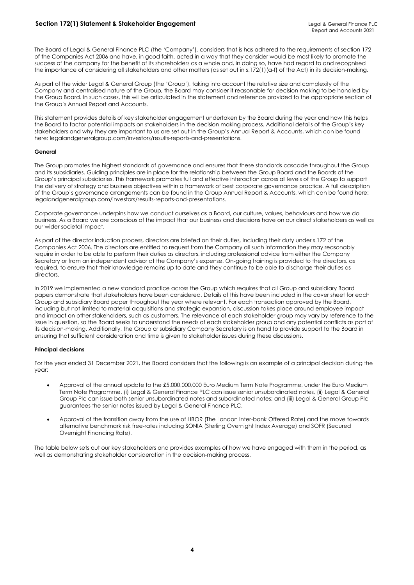The Board of Legal & General Finance PLC (the 'Company'), considers that is has adhered to the requirements of section 172 of the Companies Act 2006 and have, in good faith, acted in a way that they consider would be most likely to promote the success of the company for the benefit of its shareholders as a whole and, in doing so, have had regard to and recognised the importance of considering all stakeholders and other matters (as set out in s.172(1)(a-f) of the Act) in its decision-making.

As part of the wider Legal & General Group (the 'Group'), taking into account the relative size and complexity of the Company and centralised nature of the Group, the Board may consider it reasonable for decision making to be handled by the Group Board. In such cases, this will be articulated in the statement and reference provided to the appropriate section of the Group's Annual Report and Accounts.

This statement provides details of key stakeholder engagement undertaken by the Board during the year and how this helps the Board to factor potential impacts on stakeholders in the decision making process. Additional details of the Group's key stakeholders and why they are important to us are set out in the Group's Annual Report & Accounts, which can be found here: legalandgeneralgroup.com/investors/results-reports-and-presentations.

#### **General**

The Group promotes the highest standards of governance and ensures that these standards cascade throughout the Group and its subsidiaries. Guiding principles are in place for the relationship between the Group Board and the Boards of the Group's principal subsidiaries. This framework promotes full and effective interaction across all levels of the Group to support the delivery of strategy and business objectives within a framework of best corporate governance practice. A full description of the Group's governance arrangements can be found in the Group Annual Report & Accounts, which can be found here: legalandgeneralgroup.com/investors/results-reports-and-presentations.

Corporate governance underpins how we conduct ourselves as a Board, our culture, values, behaviours and how we do business. As a Board we are conscious of the impact that our business and decisions have on our direct stakeholders as well as our wider societal impact.

As part of the director induction process, directors are briefed on their duties, including their duty under s.172 of the Companies Act 2006. The directors are entitled to request from the Company all such information they may reasonably require in order to be able to perform their duties as directors, including professional advice from either the Company Secretary or from an independent advisor at the Company's expense. On-going training is provided to the directors, as required, to ensure that their knowledge remains up to date and they continue to be able to discharge their duties as directors.

In 2019 we implemented a new standard practice across the Group which requires that all Group and subsidiary Board papers demonstrate that stakeholders have been considered. Details of this have been included in the cover sheet for each Group and subsidiary Board paper throughout the year where relevant. For each transaction approved by the Board, including but not limited to material acquisitions and strategic expansion, discussion takes place around employee impact and impact on other stakeholders, such as customers. The relevance of each stakeholder group may vary by reference to the issue in question, so the Board seeks to understand the needs of each stakeholder group and any potential conflicts as part of its decision-making. Additionally, the Group or subsidiary Company Secretary is on hand to provide support to the Board in ensuring that sufficient consideration and time is given to stakeholder issues during these discussions.

# **Principal decisions**

For the year ended 31 December 2021, the Board considers that the following is an example of a principal decision during the year:

- Approval of the annual update to the £5,000,000,000 Euro Medium Term Note Programme, under the Euro Medium Term Note Programme, (i) Legal & General Finance PLC can issue senior unsubordinated notes, (ii) Legal & General Group Plc can issue both senior unsubordinated notes and subordinated notes; and (iii) Legal & General Group Plc guarantees the senior notes issued by Legal & General Finance PLC.
- Approval of the transition away from the use of LIBOR (The London Inter-bank Offered Rate) and the move towards alternative benchmark risk free-rates including SONIA (Sterling Overnight Index Average) and SOFR (Secured Overnight Financing Rate).

The table below sets out our key stakeholders and provides examples of how we have engaged with them in the period, as well as demonstrating stakeholder consideration in the decision-making process.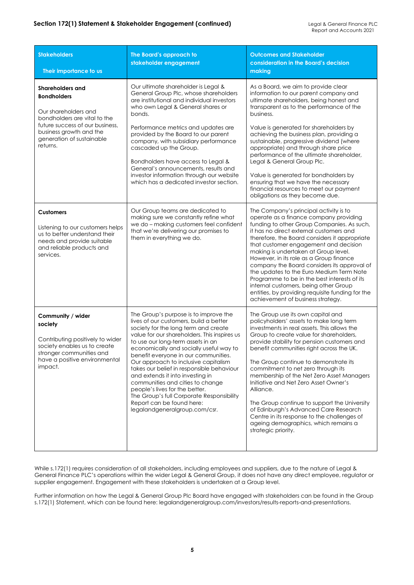| <b>Stakeholders</b><br>Their importance to us                                                                                                                                                                | The Board's approach to<br>stakeholder engagement                                                                                                                                                                                                                                                                                                                                                                                                                                                                                                                                                         | <b>Outcomes and Stakeholder</b><br>consideration in the Board's decision<br>making                                                                                                                                                                                                                                                                                                                                                                                                                                                                                                                                                                         |
|--------------------------------------------------------------------------------------------------------------------------------------------------------------------------------------------------------------|-----------------------------------------------------------------------------------------------------------------------------------------------------------------------------------------------------------------------------------------------------------------------------------------------------------------------------------------------------------------------------------------------------------------------------------------------------------------------------------------------------------------------------------------------------------------------------------------------------------|------------------------------------------------------------------------------------------------------------------------------------------------------------------------------------------------------------------------------------------------------------------------------------------------------------------------------------------------------------------------------------------------------------------------------------------------------------------------------------------------------------------------------------------------------------------------------------------------------------------------------------------------------------|
| <b>Shareholders and</b><br><b>Bondholders</b><br>Our shareholders and<br>bondholders are vital to the<br>future success of our business.<br>business growth and the<br>generation of sustainable<br>returns. | Our ultimate shareholder is Legal &<br>General Group Plc, whose shareholders<br>are institutional and individual investors<br>who own Legal & General shares or<br>bonds.<br>Performance metrics and updates are<br>provided by the Board to our parent<br>company, with subsidiary performance<br>cascaded up the Group.<br>Bondholders have access to Legal &<br>General's announcements, results and<br>investor information through our website<br>which has a dedicated investor section.                                                                                                            | As a Board, we aim to provide clear<br>information to our parent company and<br>ultimate shareholders, being honest and<br>transparent as to the performance of the<br>business.<br>Value is generated for shareholders by<br>achieving the business plan, providing a<br>sustainable, progressive dividend (where<br>appropriate) and through share price<br>performance of the ultimate shareholder,<br>Legal & General Group Plc.<br>Value is generated for bondholders by<br>ensuring that we have the necessary<br>financial resources to meet our payment<br>obligations as they become due.                                                         |
| <b>Customers</b><br>Listening to our customers helps<br>us to better understand their<br>needs and provide suitable<br>and reliable products and<br>services.                                                | Our Group teams are dedicated to<br>making sure we constantly refine what<br>we do - making customers feel confident<br>that we're delivering our promises to<br>them in everything we do.                                                                                                                                                                                                                                                                                                                                                                                                                | The Company's principal activity is to<br>operate as a finance company providing<br>funding to other Group Companies. As such,<br>it has no direct external customers and<br>therefore, the Board considers it appropriate<br>that customer engagement and decision<br>making is undertaken at Group level.<br>However, in its role as a Group finance<br>company the Board considers its approval of<br>the updates to the Euro Medium Term Note<br>Programme to be in the best interests of its<br>internal customers, being other Group<br>entities, by providing requisite funding for the<br>achievement of business strategy.                        |
| Community / wider<br>society<br>Contributing positively to wider<br>society enables us to create<br>stronger communities and<br>have a positive environmental<br>impact.                                     | The Group's purpose is to improve the<br>lives of our customers, build a better<br>society for the long term and create<br>value for our shareholders. This inspires us<br>to use our long-term assets in an<br>economically and socially useful way to<br>benetit everyone in our communities.<br>Our approach to inclusive capitalism<br>takes our belief in responsible behaviour<br>and extends it into investing in<br>communities and cities to change<br>people's lives for the better.<br>The Group's full Corporate Responsibility<br>Report can be found here:<br>legalandgeneralgroup.com/csr. | The Group use its own capital and<br>policyholders' assets to make long term<br>investments in real assets. This allows the<br>Group to create value for shareholders,<br>provide stability for pension customers and<br>benefit communities right across the UK.<br>The Group continue to demonstrate its<br>commitment to net zero through its<br>membership of the Net Zero Asset Managers<br>Initiative and Net Zero Asset Owner's<br>Alliance.<br>The Group continue to support the University<br>of Edinburgh's Advanced Care Research<br>Centre in its response to the challenges of<br>ageing demographics, which remains a<br>strategic priority. |

While s.172(1) requires consideration of all stakeholders, including employees and suppliers, due to the nature of Legal & General Finance PLC's operations within the wider Legal & General Group, it does not have any direct employee, regulator or supplier engagement. Engagement with these stakeholders is undertaken at a Group level.

Further information on how the Legal & General Group Plc Board have engaged with stakeholders can be found in the Group s.172(1) Statement, which can be found here: legalandgeneralgroup.com/investors/results-reports-and-presentations.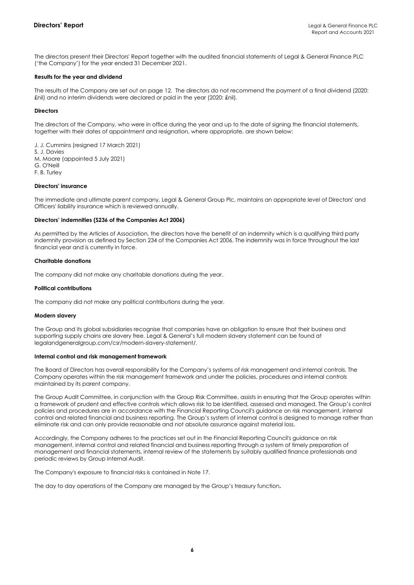The directors present their Directors' Report together with the audited financial statements of Legal & General Finance PLC ('the Company') for the year ended 31 December 2021.

### **Results for the year and dividend**

The results of the Company are set out on page 12. The directors do not recommend the payment of a final dividend (2020: £nil) and no interim dividends were declared or paid in the year (2020: £nil).

# **Directors**

The directors of the Company, who were in office during the year and up to the date of signing the financial statements, together with their dates of appointment and resignation, where appropriate, are shown below:

J. J. Cummins (resigned 17 March 2021) S. J. Davies M. Moore (appointed 5 July 2021) G. O'Neill F. B. Turley

# **Directors' insurance**

The immediate and ultimate parent company, Legal & General Group Plc, maintains an appropriate level of Directors' and Officers' liability insurance which is reviewed annually.

#### **Directors' indemnities (S236 of the Companies Act 2006)**

As permitted by the Articles of Association, the directors have the benefit of an indemnity which is a qualifying third party indemnity provision as defined by Section 234 of the Companies Act 2006. The indemnity was in force throughout the last financial year and is currently in force.

# **Charitable donations**

The company did not make any charitable donations during the year.

# **Political contributions**

The company did not make any political contributions during the year.

## **Modern slavery**

The Group and its global subsidiaries recognise that companies have an obligation to ensure that their business and supporting supply chains are slavery free. Legal & General's full modern slavery statement can be found at legalandgeneralgroup.com/csr/modern-slavery-statement/.

#### **Internal control and risk management framework**

The Board of Directors has overall responsibility for the Company's systems of risk management and internal controls. The Company operates within the risk management framework and under the policies, procedures and internal controls maintained by its parent company.

The Group Audit Committee, in conjunction with the Group Risk Committee, assists in ensuring that the Group operates within a framework of prudent and effective controls which allows risk to be identified, assessed and managed. The Group's control policies and procedures are in accordance with the Financial Reporting Council's guidance on risk management, internal control and related financial and business reporting. The Group's system of internal control is designed to manage rather than eliminate risk and can only provide reasonable and not absolute assurance against material loss.

Accordingly, the Company adheres to the practices set out in the Financial Reporting Council's guidance on risk management, internal control and related financial and business reporting through a system of timely preparation of management and financial statements, internal review of the statements by suitably qualified finance professionals and periodic reviews by Group Internal Audit.

The Company's exposure to financial risks is contained in Note 17.

The day to day operations of the Company are managed by the Group's treasury function**.**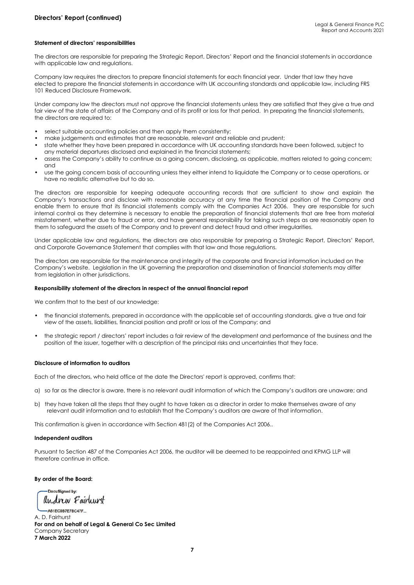# **Statement of directors' responsibilities**

The directors are responsible for preparing the Strategic Report, Directors' Report and the financial statements in accordance with applicable law and regulations.

Company law requires the directors to prepare financial statements for each financial year. Under that law they have elected to prepare the financial statements in accordance with UK accounting standards and applicable law, including FRS 101 Reduced Disclosure Framework.

Under company law the directors must not approve the financial statements unless they are satisfied that they give a true and fair view of the state of affairs of the Company and of its profit or loss for that period. In preparing the financial statements, the directors are required to:

- select suitable accounting policies and then apply them consistently;
- make judgements and estimates that are reasonable, relevant and reliable and prudent;
- state whether they have been prepared in accordance with UK accounting standards have been followed, subject to any material departures disclosed and explained in the financial statements;
- assess the Company's ability to continue as a going concern, disclosing, as applicable, matters related to going concern; and
- use the going concern basis of accounting unless they either intend to liquidate the Company or to cease operations, or have no realistic alternative but to do so.

The directors are responsible for keeping adequate accounting records that are sufficient to show and explain the Company's transactions and disclose with reasonable accuracy at any time the financial position of the Company and enable them to ensure that its financial statements comply with the Companies Act 2006. They are responsible for such internal control as they determine is necessary to enable the preparation of financial statements that are free from material misstatement, whether due to fraud or error, and have general responsibility for taking such steps as are reasonably open to them to safeguard the assets of the Company and to prevent and detect fraud and other irregularities.

Under applicable law and regulations, the directors are also responsible for preparing a Strategic Report, Directors' Report, and Corporate Governance Statement that complies with that law and those regulations.

The directors are responsible for the maintenance and integrity of the corporate and financial information included on the Company's website. Legislation in the UK governing the preparation and dissemination of financial statements may differ from legislation in other jurisdictions.

# **Responsibility statement of the directors in respect of the annual financial report**

We confirm that to the best of our knowledge:

- the financial statements, prepared in accordance with the applicable set of accounting standards, give a true and fair view of the assets, liabilities, financial position and profit or loss of the Company; and
- the strategic report / directors' report includes a fair review of the development and performance of the business and the position of the issuer, together with a description of the principal risks and uncertainties that they face.

#### **Disclosure of information to auditors**

Each of the directors, who held office at the date the Directors' report is approved, confirms that:

- a) so far as the director is aware, there is no relevant audit information of which the Company's auditors are unaware; and
- b) they have taken all the steps that they ought to have taken as a director in order to make themselves aware of any relevant audit information and to establish that the Company's auditors are aware of that information.

This confirmation is given in accordance with Section 481(2) of the Companies Act 2006..

#### **Independent auditors**

Pursuant to Section 487 of the Companies Act 2006, the auditor will be deemed to be reappointed and KPMG LLP will therefore continue in office.

#### **By order of the Board:**

-DocuSigned by: andrew Fairleurst

-A81EC9B7E7BC47F... A. D. Fairhurst **For and on behalf of Legal & General Co Sec Limited** Company Secretary **7 March 2022**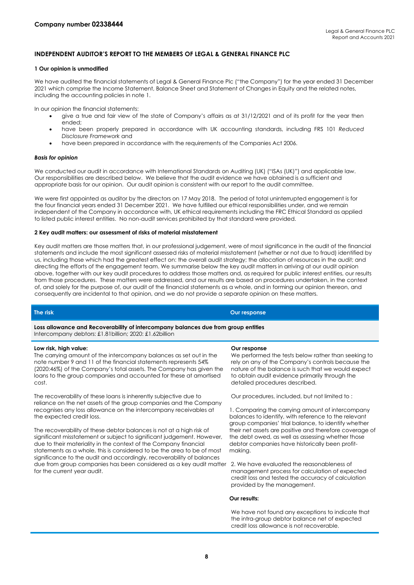# **INDEPENDENT AUDITOR'S REPORT TO THE MEMBERS OF LEGAL & GENERAL FINANCE PLC**

# **1 Our opinion is unmodified**

We have audited the financial statements of Legal & General Finance Plc ("the Company") for the year ended 31 December 2021 which comprise the Income Statement, Balance Sheet and Statement of Changes in Equity and the related notes, including the accounting policies in note 1.

In our opinion the financial statements:

- give a true and fair view of the state of Company's affairs as at 31/12/2021 and of its profit for the year then ended;
- have been properly prepared in accordance with UK accounting standards, including FRS 101 *Reduced Disclosure Framework* and
- have been prepared in accordance with the requirements of the Companies Act 2006.

#### *Basis for opinion*

We conducted our audit in accordance with International Standards on Auditing (UK) ("ISAs (UK)") and applicable law. Our responsibilities are described below. We believe that the audit evidence we have obtained is a sufficient and appropriate basis for our opinion. Our audit opinion is consistent with our report to the audit committee.

We were first appointed as auditor by the directors on 17 May 2018. The period of total uninterrupted engagement is for the four financial years ended 31 December 2021. We have fulfilled our ethical responsibilities under, and we remain independent of the Company in accordance with, UK ethical requirements including the FRC Ethical Standard as applied to listed public interest entities. No non-audit services prohibited by that standard were provided.

# **2 Key audit matters: our assessment of risks of material misstatement**

Key audit matters are those matters that, in our professional judgement, were of most significance in the audit of the financial statements and include the most significant assessed risks of material misstatement (whether or not due to fraud) identified by us, including those which had the greatest effect on: the overall audit strategy; the allocation of resources in the audit; and directing the efforts of the engagement team. We summarise below the key audit matters in arriving at our audit opinion above, together with our key audit procedures to address those matters and, as required for public interest entities, our results from those procedures. These matters were addressed, and our results are based on procedures undertaken, in the context of, and solely for the purpose of, our audit of the financial statements as a whole, and in forming our opinion thereon, and consequently are incidental to that opinion, and we do not provide a separate opinion on these matters.

# **The risk Our response**

**Loss allowance and Recoverability of intercompany balances due from group entities** Intercompany debtors: £1.81billion; 2020: £1.62billion

#### **Low risk, high value:**

The carrying amount of the intercompany balances as set out in the note number 9 and 11 of the financial statements represents 54% (2020:46%) of the Company's total assets. The Company has given the loans to the group companies and accounted for these at amortised cost.

The recoverability of these loans is inherently subjective due to reliance on the net assets of the group companies and the Company recognises any loss allowance on the intercompany receivables at the expected credit loss.

The recoverability of these debtor balances is not at a high risk of significant misstatement or subject to significant judgement. However, due to their materiality in the context of the Company financial statements as a whole, this is considered to be the area to be of most significance to the audit and accordingly, recoverability of balances due from group companies has been considered as a key audit matter for the current year audit.

#### **Our response**

We performed the tests below rather than seeking to rely on any of the Company's controls because the nature of the balance is such that we would expect to obtain audit evidence primarily through the detailed procedures described.

Our procedures, included, but not limited to :

1. Comparing the carrying amount of intercompany balances to identify, with reference to the relevant group companies' trial balance, to identify whether their net assets are positive and therefore coverage of the debt owed, as well as assessing whether those debtor companies have historically been profitmaking.

2. We have evaluated the reasonableness of management process for calculation of expected credit loss and tested the accuracy of calculation provided by the management.

#### **Our results:**

We have not found any exceptions to indicate that the intra-group debtor balance net of expected credit loss allowance is not recoverable.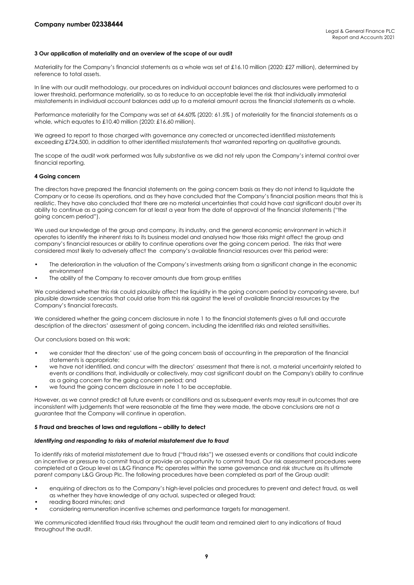#### **3 Our application of materiality and an overview of the scope of our audit**

Materiality for the Company's financial statements as a whole was set at £16.10 million (2020: £27 million), determined by reference to total assets.

In line with our audit methodology, our procedures on individual account balances and disclosures were performed to a lower threshold, performance materiality, so as to reduce to an acceptable level the risk that individually immaterial misstatements in individual account balances add up to a material amount across the financial statements as a whole.

Performance materiality for the Company was set at 64.60% (2020: 61.5% ) of materiality for the financial statements as a whole, which equates to £10.40 million (2020: £16.60 million).

We agreed to report to those charged with governance any corrected or uncorrected identified misstatements exceeding £724,500, in addition to other identified misstatements that warranted reporting on qualitative grounds.

The scope of the audit work performed was fully substantive as we did not rely upon the Company's internal control over financial reporting.

# **4 Going concern**

The directors have prepared the financial statements on the going concern basis as they do not intend to liquidate the Company or to cease its operations, and as they have concluded that the Company's financial position means that this is realistic. They have also concluded that there are no material uncertainties that could have cast significant doubt over its ability to continue as a going concern for at least a year from the date of approval of the financial statements ("the going concern period").

We used our knowledge of the group and company, its industry, and the general economic environment in which it operates to identify the inherent risks to its business model and analysed how those risks might affect the group and company's financial resources or ability to continue operations over the going concern period. The risks that were considered most likely to adversely affect the company's available financial resources over this period were:

- The deterioration in the valuation of the Company's investments arising from a significant change in the economic environment
- The ability of the Company to recover amounts due from group entities

We considered whether this risk could plausibly affect the liquidity in the going concern period by comparing severe, but plausible downside scenarios that could arise from this risk against the level of available financial resources by the Company's financial forecasts.

We considered whether the going concern disclosure in note 1 to the financial statements gives a full and accurate description of the directors' assessment of going concern, including the identified risks and related sensitivities.

Our conclusions based on this work:

- we consider that the directors' use of the going concern basis of accounting in the preparation of the financial statements is appropriate;
- we have not identified, and concur with the directors' assessment that there is not, a material uncertainty related to events or conditions that, individually or collectively, may cast significant doubt on the Company's ability to continue as a going concern for the going concern period; and
- we found the going concern disclosure in note 1 to be acceptable.

However, as we cannot predict all future events or conditions and as subsequent events may result in outcomes that are inconsistent with judgements that were reasonable at the time they were made, the above conclusions are not a guarantee that the Company will continue in operation.

#### **5 Fraud and breaches of laws and regulations – ability to detect**

#### *Identifying and responding to risks of material misstatement due to fraud*

To identify risks of material misstatement due to fraud ("fraud risks") we assessed events or conditions that could indicate an incentive or pressure to commit fraud or provide an opportunity to commit fraud. Our risk assessment procedures were completed at a Group level as L&G Finance Plc operates within the same governance and risk structure as its ultimate parent company L&G Group Plc. The following procedures have been completed as part of the Group audit:

- enquiring of directors as to the Company's high-level policies and procedures to prevent and detect fraud, as well as whether they have knowledge of any actual, suspected or alleged fraud;
- reading Board minutes; and
- considering remuneration incentive schemes and performance targets for management.

We communicated identified fraud risks throughout the audit team and remained alert to any indications of fraud throughout the audit.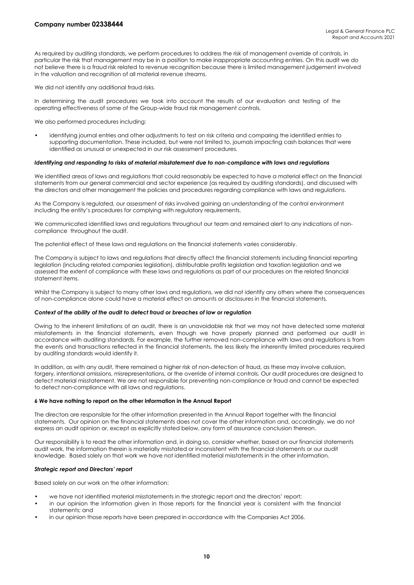As required by auditing standards, we perform procedures to address the risk of management override of controls, in particular the risk that management may be in a position to make inappropriate accounting entries. On this audit we do not believe there is a fraud risk related to revenue recognition because there is limited management judgement involved in the valuation and recognition of all material revenue streams.

We did not identify any additional fraud risks.

In determining the audit procedures we took into account the results of our evaluation and testing of the operating effectiveness of some of the Group-wide fraud risk management controls.

We also performed procedures including:

• identifying journal entries and other adjustments to test on risk criteria and comparing the identified entries to supporting documentation. These included, but were not limited to, journals impacting cash balances that were identified as unusual or unexpected in our risk assessment procedures.

#### *Identifying and responding to risks of material misstatement due to non-compliance with laws and regulations*

We identified areas of laws and regulations that could reasonably be expected to have a material effect on the financial statements from our general commercial and sector experience (as required by auditing standards), and discussed with the directors and other management the policies and procedures regarding compliance with laws and regulations.

As the Company is regulated, our assessment of risks involved gaining an understanding of the control environment including the entity's procedures for complying with regulatory requirements.

We communicated identified laws and regulations throughout our team and remained alert to any indications of noncompliance throughout the audit.

The potential effect of these laws and regulations on the financial statements varies considerably.

The Company is subject to laws and regulations that directly affect the financial statements including financial reporting legislation (including related companies legislation), distributable profits legislation and taxation legislation and we assessed the extent of compliance with these laws and regulations as part of our procedures on the related financial statement items.

Whilst the Company is subject to many other laws and regulations, we did not identify any others where the consequences of non-compliance alone could have a material effect on amounts or disclosures in the financial statements.

#### *Context of the ability of the audit to detect fraud or breaches of law or regulation*

Owing to the inherent limitations of an audit, there is an unavoidable risk that we may not have detected some material misstatements in the financial statements, even though we have properly planned and performed our audit in accordance with auditing standards. For example, the further removed non-compliance with laws and regulations is from the events and transactions reflected in the financial statements, the less likely the inherently limited procedures required by auditing standards would identify it.

In addition, as with any audit, there remained a higher risk of non-detection of fraud, as these may involve collusion, forgery, intentional omissions, misrepresentations, or the override of internal controls. Our audit procedures are designed to detect material misstatement. We are not responsible for preventing non-compliance or fraud and cannot be expected to detect non-compliance with all laws and regulations.

#### **6 We have nothing to report on the other information in the Annual Report**

The directors are responsible for the other information presented in the Annual Report together with the financial statements. Our opinion on the financial statements does not cover the other information and, accordingly, we do not express an audit opinion or, except as explicitly stated below, any form of assurance conclusion thereon.

Our responsibility is to read the other information and, in doing so, consider whether, based on our financial statements audit work, the information therein is materially misstated or inconsistent with the financial statements or our audit knowledge. Based solely on that work we have not identified material misstatements in the other information.

#### *Strategic report and Directors' report*

Based solely on our work on the other information:

- we have not identified material misstatements in the strategic report and the directors' report;
- in our opinion the information given in those reports for the financial year is consistent with the financial statements; and
- in our opinion those reports have been prepared in accordance with the Companies Act 2006.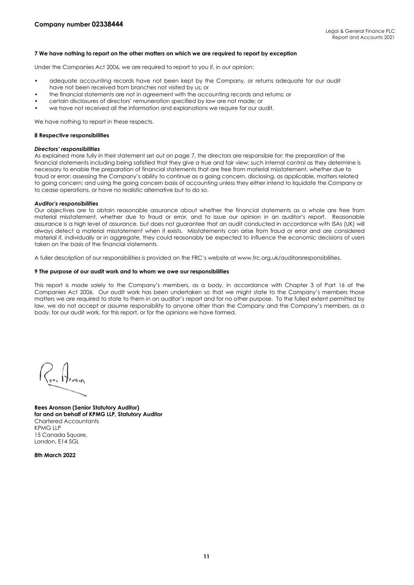### **7 We have nothing to report on the other matters on which we are required to report by exception**

Under the Companies Act 2006, we are required to report to you if, in our opinion:

- adequate accounting records have not been kept by the Company, or returns adequate for our audit have not been received from branches not visited by us; or
- the financial statements are not in agreement with the accounting records and returns; or
- certain disclosures of directors' remuneration specified by law are not made; or
- we have not received all the information and explanations we require for our audit.

We have nothing to report in these respects.

#### **8 Respective responsibilities**

#### *Directors' responsibilities*

As explained more fully in their statement set out on page 7, the directors are responsible for: the preparation of the financial statements including being satisfied that they give a true and fair view; such internal control as they determine is necessary to enable the preparation of financial statements that are free from material misstatement, whether due to fraud or error; assessing the Company's ability to continue as a going concern, disclosing, as applicable, matters related to going concern; and using the going concern basis of accounting unless they either intend to liquidate the Company or to cease operations, or have no realistic alternative but to do so.

#### *Auditor's responsibilities*

Our objectives are to obtain reasonable assurance about whether the financial statements as a whole are free from material misstatement, whether due to fraud or error, and to issue our opinion in an auditor's report. Reasonable assurance is a high level of assurance, but does not guarantee that an audit conducted in accordance with ISAs (UK) will always detect a material misstatement when it exists. Misstatements can arise from fraud or error and are considered material if, individually or in aggregate, they could reasonably be expected to influence the economic decisions of users taken on the basis of the financial statements.

A fuller description of our responsibilities is provided on the FRC's website at www.frc.org.uk/auditorsresponsibilities.

# **9 The purpose of our audit work and to whom we owe our responsibilities**

This report is made solely to the Company's members, as a body, in accordance with Chapter 3 of Part 16 of the Companies Act 2006. Our audit work has been undertaken so that we might state to the Company's members those matters we are required to state to them in an auditor's report and for no other purpose. To the fullest extent permitted by law, we do not accept or assume responsibility to anyone other than the Company and the Company's members, as a body, for our audit work, for this report, or for the opinions we have formed.

**Rees Aronson (Senior Statutory Auditor) for and on behalf of KPMG LLP, Statutory Auditor**  Chartered Accountants KPMG LLP 15 Canada Square, London, E14 5GL

**8th March 2022**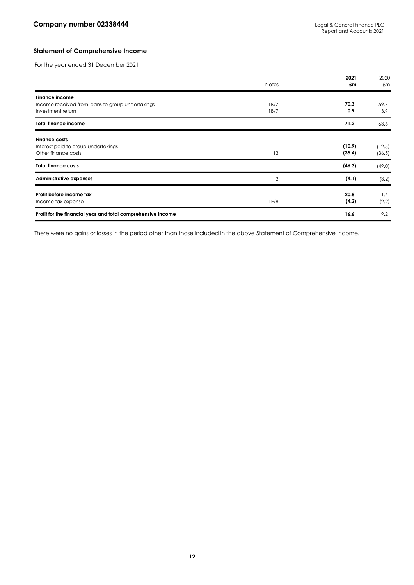# **Statement of Comprehensive Income**

For the year ended 31 December 2021

|                                                                                                | <b>Notes</b> | 2021<br>£m       | 2020<br>£m       |
|------------------------------------------------------------------------------------------------|--------------|------------------|------------------|
| <b>Finance income</b><br>Income received from loans to group undertakings<br>Investment return | 1B/7<br>1B/7 | 70.3<br>0.9      | 59.7<br>3.9      |
| <b>Total finance income</b>                                                                    |              | 71.2             | 63.6             |
| <b>Finance costs</b><br>Interest paid to group undertakings<br>Other finance costs             | 13           | (10.9)<br>(35.4) | (12.5)<br>(36.5) |
| <b>Total finance costs</b>                                                                     |              | (46.3)           | (49.0)           |
| <b>Administrative expenses</b>                                                                 | 3            | (4.1)            | (3.2)            |
| Profit before income tax<br>Income tax expense                                                 | 1E/8         | 20.8<br>(4.2)    | 11.4<br>(2.2)    |
| Profit for the financial year and total comprehensive income                                   |              | 16.6             | 9.2              |

There were no gains or losses in the period other than those included in the above Statement of Comprehensive Income.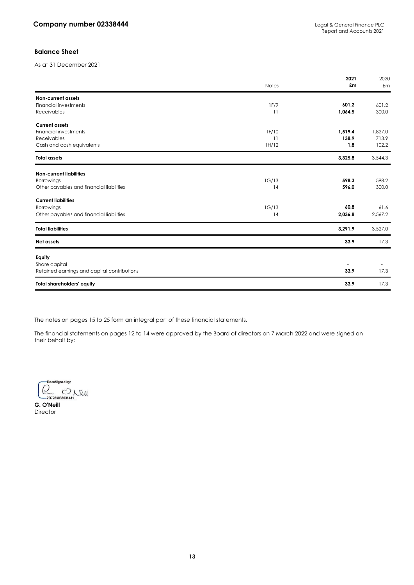# **Balance Sheet**

As at 31 December 2021

|                                             | <b>Notes</b> | 2021<br>£m | 2020<br>$\pounds$ m |
|---------------------------------------------|--------------|------------|---------------------|
| <b>Non-current assets</b>                   |              |            |                     |
| <b>Financial investments</b>                | 1F/9         | 601.2      | 601.2               |
| Receivables                                 | 11           | 1,064.5    | 300.0               |
| <b>Current assets</b>                       |              |            |                     |
| <b>Financial investments</b>                | 1F/10        | 1,519.4    | 1,827.0             |
| <b>Receivables</b>                          | 11           | 138.9      | 713.9               |
| Cash and cash equivalents                   | 1H/12        | 1.8        | 102.2               |
| <b>Total assets</b>                         |              | 3,325.8    | 3,544.3             |
| <b>Non-current liabilities</b>              |              |            |                     |
| Borrowings                                  | 1G/13        | 598.3      | 598.2               |
| Other payables and financial liabilities    | 14           | 596.0      | 300.0               |
| <b>Current liabilities</b>                  |              |            |                     |
| Borrowings                                  | 1G/13        | 60.8       | 61.6                |
| Other payables and financial liabilities    | 14           | 2,036.8    | 2,567.2             |
| <b>Total liabilities</b>                    |              | 3,291.9    | 3,527.0             |
| Net assets                                  |              | 33.9       | 17.3                |
| Equity                                      |              |            |                     |
| Share capital                               |              |            |                     |
| Retained earnings and capital contributions |              | 33.9       | 17.3                |
| <b>Total shareholders' equity</b>           |              | 33.9       | 17.3                |

The notes on pages 15 to 25 form an integral part of these financial statements.

The financial statements on pages 12 to 14 were approved by the Board of directors on 7 March 2022 and were signed on their behalf by:

-DocuSigned by:  $Q_{\textrm{101}}$   $Q_{\textrm{112}}$ 

**G. O'Neill Director**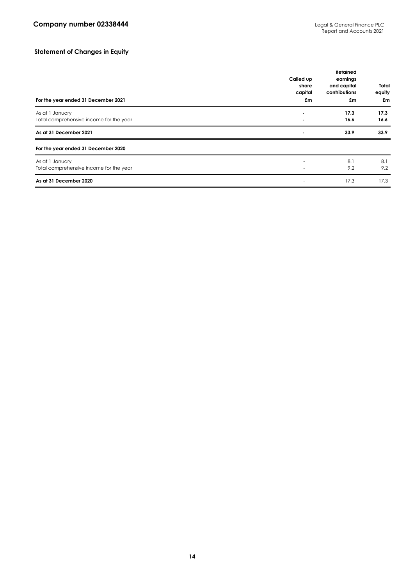# **Statement of Changes in Equity**

| For the year ended 31 December 2021                        | Called up<br>share<br>capital<br>£m | Retained<br>earnings<br>and capital<br>contributions<br>£m | Total<br>equity<br>£m |
|------------------------------------------------------------|-------------------------------------|------------------------------------------------------------|-----------------------|
| As at 1 January<br>Total comprehensive income for the year | ٠                                   | 17.3<br>16.6                                               | 17.3<br>16.6          |
| As at 31 December 2021                                     | $\blacksquare$                      | 33.9                                                       | 33.9                  |
| For the year ended 31 December 2020                        |                                     |                                                            |                       |
| As at 1 January<br>Total comprehensive income for the year |                                     | 8.1<br>9.2                                                 | 8.1<br>9.2            |
| As at 31 December 2020                                     |                                     | 17.3                                                       | 17.3                  |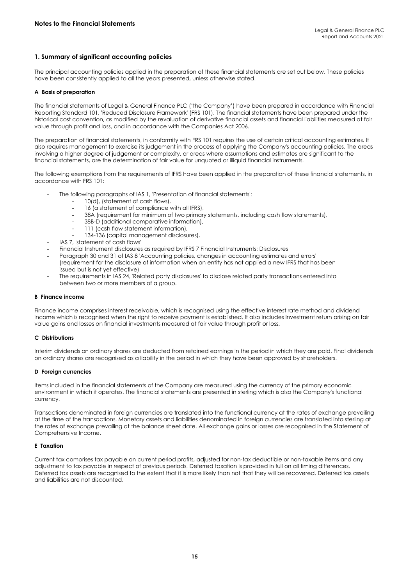# **1. Summary of significant accounting policies**

The principal accounting policies applied in the preparation of these financial statements are set out below. These policies have been consistently applied to all the years presented, unless otherwise stated.

# **A Basis of preparation**

The financial statements of Legal & General Finance PLC ('the Company') have been prepared in accordance with Financial Reporting Standard 101, 'Reduced Disclosure Framework' (FRS 101). The financial statements have been prepared under the historical cost convention, as modified by the revaluation of derivative financial assets and financial liabilities measured at fair value through profit and loss, and in accordance with the Companies Act 2006.

The preparation of financial statements, in conformity with FRS 101 requires the use of certain critical accounting estimates. It also requires management to exercise its judgement in the process of applying the Company's accounting policies. The areas involving a higher degree of judgement or complexity, or areas where assumptions and estimates are significant to the financial statements, are the determination of fair value for unquoted or illiquid financial instruments.

The following exemptions from the requirements of IFRS have been applied in the preparation of these financial statements, in accordance with FRS 101:

- The following paragraphs of IAS 1, 'Presentation of financial statements':
	- 10(d), (statement of cash flows),
	- 16 (a statement of compliance with all IFRS),
	- 38A (requirement for minimum of two primary statements, including cash flow statements),
	- 38B-D (additional comparative information),
	- 111 (cash flow statement information),
	- 134-136 (capital management disclosures).
- IAS 7, 'statement of cash flows'
- Financial Instrument disclosures as required by IFRS 7 Financial Instruments: Disclosures
- Paragraph 30 and 31 of IAS 8 'Accounting policies, changes in accounting estimates and errors' (requirement for the disclosure of information when an entity has not applied a new IFRS that has been issued but is not yet effective)
- The requirements in IAS 24, 'Related party disclosures' to disclose related party transactions entered into between two or more members of a group.

#### **B Finance income**

Finance income comprises interest receivable, which is recognised using the effective interest rate method and dividend income which is recognised when the right to receive payment is established. It also includes Investment return arising on fair value gains and losses on financial investments measured at fair value through profit or loss.

# **C Distributions**

Interim dividends on ordinary shares are deducted from retained earnings in the period in which they are paid. Final dividends on ordinary shares are recognised as a liability in the period in which they have been approved by shareholders.

#### **D Foreign currencies**

Items included in the financial statements of the Company are measured using the currency of the primary economic environment in which it operates. The financial statements are presented in sterling which is also the Company's functional currency.

Transactions denominated in foreign currencies are translated into the functional currency at the rates of exchange prevailing at the time of the transactions. Monetary assets and liabilities denominated in foreign currencies are translated into sterling at the rates of exchange prevailing at the balance sheet date. All exchange gains or losses are recognised in the Statement of Comprehensive Income.

#### **E Taxation**

Current tax comprises tax payable on current period profits, adjusted for non-tax deductible or non-taxable items and any adjustment to tax payable in respect of previous periods. Deferred taxation is provided in full on all timing differences. Deferred tax assets are recognised to the extent that it is more likely than not that they will be recovered. Deferred tax assets and liabilities are not discounted.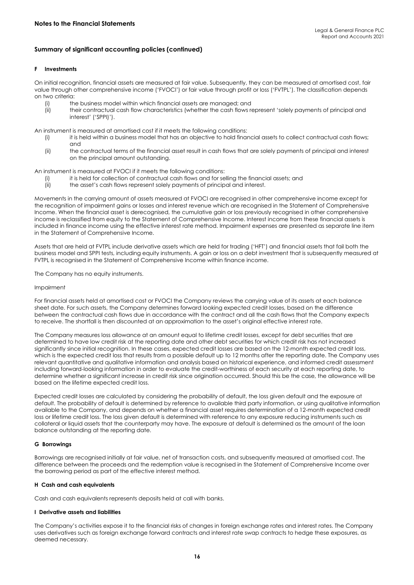# **Summary of significant accounting policies (continued)**

# **F Investments**

On initial recognition, financial assets are measured at fair value. Subsequently, they can be measured at amortised cost, fair value through other comprehensive income ('FVOCI') or fair value through profit or loss ('FVTPL'). The classification depends on two criteria:<br>(i) th

- the business model within which financial assets are managed; and
- (ii) their contractual cash flow characteristics (whether the cash flows represent 'solely payments of principal and interest' ('SPPI)').

An instrument is measured at amortised cost if it meets the following conditions:

- (i) it is held within a business model that has an objective to hold financial assets to collect contractual cash flows; and
- (ii) the contractual terms of the financial asset result in cash flows that are solely payments of principal and interest on the principal amount outstanding.

An instrument is measured at FVOCI if it meets the following conditions:

- (i) it is held for collection of contractual cash flows and for selling the financial assets; and
- (ii) the asset's cash flows represent solely payments of principal and interest.

Movements in the carrying amount of assets measured at FVOCI are recognised in other comprehensive income except for the recognition of impairment gains or losses and interest revenue which are recognised in the Statement of Comprehensive Income. When the financial asset is derecognised, the cumulative gain or loss previously recognised in other comprehensive income is reclassified from equity to the Statement of Comprehensive Income. Interest income from these financial assets is included in finance income using the effective interest rate method. Impairment expenses are presented as separate line item in the Statement of Comprehensive Income.

Assets that are held at FVTPL include derivative assets which are held for trading ('HFT') and financial assets that fail both the business model and SPPI tests, including equity instruments. A gain or loss on a debt investment that is subsequently measured at FVTPL is recognised in the Statement of Comprehensive Income within finance income.

The Company has no equity instruments.

#### Impairment

For financial assets held at amortised cost or FVOCI the Company reviews the carrying value of its assets at each balance sheet date. For such assets, the Company determines forward looking expected credit losses, based on the difference between the contractual cash flows due in accordance with the contract and all the cash flows that the Company expects to receive. The shortfall is then discounted at an approximation to the asset's original effective interest rate.

The Company measures loss allowance at an amount equal to lifetime credit losses, except for debt securities that are determined to have low credit risk at the reporting date and other debt securities for which credit risk has not increased significantly since initial recognition. In these cases, expected credit losses are based on the 12-month expected credit loss, which is the expected credit loss that results from a possible default up to 12 months after the reporting date. The Company uses relevant quantitative and qualitative information and analysis based on historical experience, and informed credit assessment including forward-looking information in order to evaluate the credit-worthiness of each security at each reporting date, to determine whether a significant increase in credit risk since origination occurred. Should this be the case, the allowance will be based on the lifetime expected credit loss.

Expected credit losses are calculated by considering the probability of default, the loss given default and the exposure at default. The probability of default is determined by reference to available third party information, or using qualitative information available to the Company, and depends on whether a financial asset requires determination of a 12-month expected credit loss or lifetime credit loss. The loss given default is determined with reference to any exposure reducing instruments such as collateral or liquid assets that the counterparty may have. The exposure at default is determined as the amount of the loan balance outstanding at the reporting date.

# **G Borrowings**

Borrowings are recognised initially at fair value, net of transaction costs, and subsequently measured at amortised cost. The difference between the proceeds and the redemption value is recognised in the Statement of Comprehensive Income over the borrowing period as part of the effective interest method.

# **H Cash and cash equivalents**

Cash and cash equivalents represents deposits held at call with banks.

#### **I Derivative assets and liabilities**

The Company's activities expose it to the financial risks of changes in foreign exchange rates and interest rates. The Company uses derivatives such as foreign exchange forward contracts and interest rate swap contracts to hedge these exposures, as deemed necessary.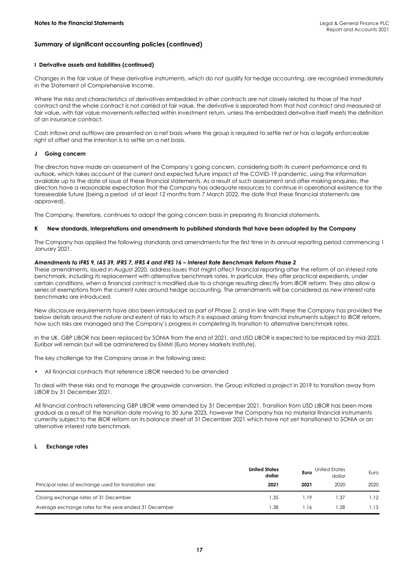# **Summary of significant accounting policies (continued)**

# **I Derivative assets and liabilities (continued)**

Changes in the fair value of these derivative instruments, which do not qualify for hedge accounting, are recognised immediately in the Statement of Comprehensive Income.

Where the risks and characteristics of derivatives embedded in other contracts are not closely related to those of the host contract and the whole contract is not carried at fair value, the derivative is separated from that host contract and measured at fair value, with fair value movements reflected within investment return, unless the embedded derivative itself meets the definition of an insurance contract.

Cash inflows and outflows are presented on a net basis where the group is required to settle net or has a legally enforceable right of offset and the intention is to settle on a net basis.

# **J Going concern**

The directors have made an assessment of the Company's going concern, considering both its current performance and its outlook, which takes account of the current and expected future impact of the COVID-19 pandemic, using the information available up to the date of issue of these financial statements. As a result of such assessment and after making enquiries, the directors have a reasonable expectation that the Company has adequate resources to continue in operational existence for the foreseeable future (being a period of at least 12 months from 7 March 2022, the date that these financial statements are approved).

The Company, therefore, continues to adopt the going concern basis in preparing its financial statements.

# **K New standards, interpretations and amendments to published standards that have been adopted by the Company**

The Company has applied the following standards and amendments for the first time in its annual reporting period commencing 1 January 2021.

# *Amendments to IFRS 9, IAS 39, IFRS 7, IFRS 4 and IFRS 16 – Interest Rate Benchmark Reform Phase 2*

These amendments, issued in August 2020, address issues that might affect financial reporting after the reform of an interest rate benchmark, including its replacement with alternative benchmark rates. In particular, they offer practical expedients, under certain conditions, when a financial contract is modified due to a change resulting directly from IBOR reform. They also allow a series of exemptions from the current rules around hedge accounting. The amendments will be considered as new interest rate benchmarks are introduced.

New disclosure requirements have also been introduced as part of Phase 2, and in line with these the Company has provided the below details around the nature and extent of risks to which it is exposed arising from financial instruments subject to IBOR reform, how such risks are managed and the Company's progress in completing its transition to alternative benchmark rates.

In the UK, GBP LIBOR has been replaced by SONIA from the end of 2021, and USD LIBOR is expected to be replaced by mid-2023. Euribor will remain but will be administered by EMMI (Euro Money Markets Institute).

The key challenge for the Company arose in the following area:

• All financial contracts that reference LIBOR needed to be amended

To deal with these risks and to manage the groupwide conversion, the Group initiated a project in 2019 to transition away from LIBOR by 31 December 2021.

All financial contracts referencing GBP LIBOR were amended by 31 December 2021. Transition from USD LIBOR has been more gradual as a result of the transition date moving to 30 June 2023, however the Company has no material financial instruments currently subject to the IBOR reform on its balance sheet at 31 December 2021 which have not yet transitioned to SONIA or an alternative interest rate benchmark.

# **L Exchange rates**

|                                                       | <b>United States</b><br>dollar | Euro | United States<br>dollar | Euro |
|-------------------------------------------------------|--------------------------------|------|-------------------------|------|
| Principal rates of exchange used for translation are: | 2021                           | 2021 | 2020                    | 2020 |
| Closing exchange rates at 31 December                 | 1.35                           | 1.19 | 1.37                    | .12  |
| Average exchange rates for the year ended 31 December | .38                            | 1.16 | 1.28                    | .13  |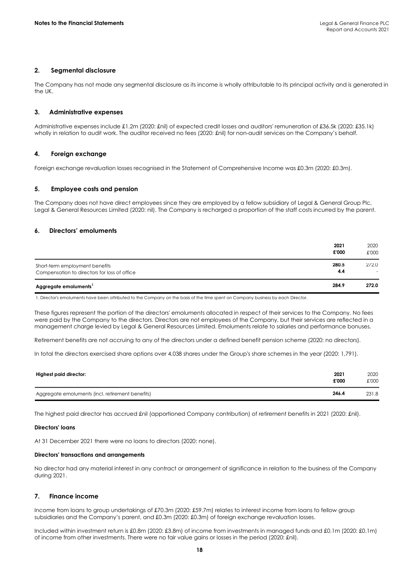# **2. Segmental disclosure**

The Company has not made any segmental disclosure as its income is wholly attributable to its principal activity and is generated in the UK.

# **3. Administrative expenses**

Administrative expenses include £1.2m (2020: £nil) of expected credit losses and auditors' remuneration of £36.5k (2020: £35.1k) wholly in relation to audit work. The auditor received no fees (2020: £nil) for non-audit services on the Company's behalf.

# **4. Foreign exchange**

Foreign exchange revaluation losses recognised in the Statement of Comprehensive Income was £0.3m (2020: £0.3m).

# **5. Employee costs and pension**

The Company does not have direct employees since they are employed by a fellow subsidiary of Legal & General Group Plc, Legal & General Resources Limited (2020: nil). The Company is recharged a proportion of the staff costs incurred by the parent.

# **6. Directors' emoluments**

|                                                                                | 2021<br>£'000 | 2020<br>£'000 |
|--------------------------------------------------------------------------------|---------------|---------------|
| Short-term employment benefits<br>Compensation to directors for loss of office | 280.5<br>4.4  | 272.0         |
| Aggregate emoluments <sup>1</sup>                                              | 284.9         | 272.0         |

1. Director's emoluments have been attributed to the Company on the basis of the time spent on Company business by each Director.

These figures represent the portion of the directors' emoluments allocated in respect of their services to the Company. No fees were paid by the Company to the directors. Directors are not employees of the Company, but their services are reflected in a management charge levied by Legal & General Resources Limited. Emoluments relate to salaries and performance bonuses.

Retirement benefits are not accruing to any of the directors under a defined benefit pension scheme (2020: no directors).

In total the directors exercised share options over 4,038 shares under the Group's share schemes in the year (2020: 1,791).

| Highest paid director:                           | 2021<br>£'000 | 2020<br>£'000 |
|--------------------------------------------------|---------------|---------------|
| Aggregate emoluments (incl. retirement benefits) | 246.4         | 231.8         |

The highest paid director has accrued £nil (apportioned Company contribution) of retirement benefits in 2021 (2020: £nil).

#### **Directors' loans**

At 31 December 2021 there were no loans to directors (2020: none).

# **Directors' transactions and arrangements**

No director had any material interest in any contract or arrangement of significance in relation to the business of the Company during 2021.

#### **7. Finance income**

Income from loans to group undertakings of £70.3m (2020: £59.7m) relates to interest income from loans to fellow group subsidiaries and the Company's parent, and £0.3m (2020: £0.3m) of foreign exchange revaluation losses.

Included within investment return is £0.8m (2020: £3.8m) of income from investments in managed funds and £0.1m (2020: £0.1m) of income from other investments. There were no fair value gains or losses in the period (2020: £nil).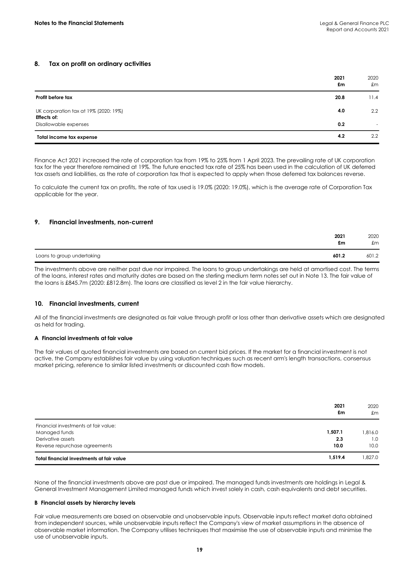# **8. Tax on profit on ordinary activities**

|                                                                               | 2021<br>£m | 2020<br>£m         |
|-------------------------------------------------------------------------------|------------|--------------------|
| Profit before tax                                                             | 20.8       | 11.4               |
| UK corporation tax at 19% (2020: 19%)<br>Effects of:<br>Disallowable expenses | 4.0<br>0.2 | $2.2^{\circ}$<br>۰ |
| Total income tax expense                                                      | 4.2        | $2.2^{\circ}$      |

Finance Act 2021 increased the rate of corporation tax from 19% to 25% from 1 April 2023. The prevailing rate of UK corporation tax for the year therefore remained at 19%. The future enacted tax rate of 25% has been used in the calculation of UK deferred tax assets and liabilities, as the rate of corporation tax that is expected to apply when those deferred tax balances reverse.

To calculate the current tax on profits, the rate of tax used is 19.0% (2020: 19.0%), which is the average rate of Corporation Tax applicable for the year.

# **9. Financial investments, non-current**

|                            | 2021<br>£m | 2020<br>£m |
|----------------------------|------------|------------|
| Loans to group undertaking | 601.2      | 601.2      |

The investments above are neither past due nor impaired. The loans to group undertakings are held at amortised cost. The terms of the loans, interest rates and maturity dates are based on the sterling medium term notes set out in Note 13. The fair value of the loans is £845.7m (2020: £812.8m). The loans are classified as level 2 in the fair value hierarchy.

# **10. Financial investments, current**

All of the financial investments are designated as fair value through profit or loss other than derivative assets which are designated as held for trading.

# **A Financial investments at fair value**

The fair values of quoted financial investments are based on current bid prices. If the market for a financial investment is not active, the Company establishes fair value by using valuation techniques such as recent arm's length transactions, consensus market pricing, reference to similar listed investments or discounted cash flow models.

|                                           | 2021<br>£m | 2020<br>£m |
|-------------------------------------------|------------|------------|
| Financial investments at fair value:      |            |            |
| Managed funds                             | 1.507.1    | 1.816.0    |
| Derivative assets                         | 2.3        | 1.0        |
| Reverse repurchase agreements             | 10.0       | 10.0       |
| Total financial investments at fair value | 1,519.4    | 1.827.0    |

None of the financial investments above are past due or impaired. The managed funds investments are holdings in Legal & General Investment Management Limited managed funds which invest solely in cash, cash equivalents and debt securities.

#### **B Financial assets by hierarchy levels**

Fair value measurements are based on observable and unobservable inputs. Observable inputs reflect market data obtained from independent sources, while unobservable inputs reflect the Company's view of market assumptions in the absence of observable market information. The Company utilises techniques that maximise the use of observable inputs and minimise the use of unobservable inputs.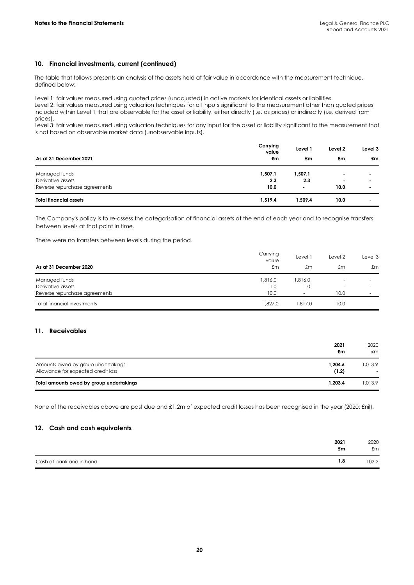# **10. Financial investments, current (continued)**

The table that follows presents an analysis of the assets held at fair value in accordance with the measurement technique, defined below:

Level 1: fair values measured using quoted prices (unadjusted) in active markets for identical assets or liabilities.

Level 2: fair values measured using valuation techniques for all inputs significant to the measurement other than quoted prices included within Level 1 that are observable for the asset or liability, either directly (i.e. as prices) or indirectly (i.e. derived from prices).

Level 3: fair values measured using valuation techniques for any input for the asset or liability significant to the measurement that is not based on observable market data (unobservable inputs).

| As at 31 December 2021        | Carrying<br>value<br>£m | Level 1<br>£m  | Level 2<br>£m  | Level 3<br>£m  |
|-------------------------------|-------------------------|----------------|----------------|----------------|
| Managed funds                 | 1,507.1                 | 1,507.1        |                | $\blacksquare$ |
| Derivative assets             | 2.3                     | 2.3            | $\blacksquare$ | $\blacksquare$ |
| Reverse repurchase agreements | 10.0                    | $\blacksquare$ | 10.0           | $\blacksquare$ |
| <b>Total financial assets</b> | 1,519.4                 | 1.509.4        | 10.0           | ۰              |

The Company's policy is to re-assess the categorisation of financial assets at the end of each year and to recognise transfers between levels at that point in time.

There were no transfers between levels during the period.

|                               | Carrying<br>value | Level 1 | Level 2 | Level 3 |
|-------------------------------|-------------------|---------|---------|---------|
| As at 31 December 2020        | £m                | £m      | £m      | £m      |
| Managed funds                 | 1.816.0           | 1.816.0 |         |         |
| Derivative assets             | 1.0               | 1.0     |         |         |
| Reverse repurchase agreements | 10.0              |         | 10.0    | ۰       |
| Total financial investments   | 1.827.0           | 1.817.0 | 10.0    |         |

# **11. Receivables**

|                                                                          | 2021<br>£m       | 2020<br>£m   |
|--------------------------------------------------------------------------|------------------|--------------|
| Amounts owed by group undertakings<br>Allowance for expected credit loss | 1,204.6<br>(1.2) | 1.013.9<br>۰ |
| Total amounts owed by group undertakings                                 | 1.203.4          | 1.013.9      |

None of the receivables above are past due and £1.2m of expected credit losses has been recognised in the year (2020: £nil).

# **12. Cash and cash equivalents**

|                          | 2021 | 2020  |
|--------------------------|------|-------|
|                          | £m   | £m    |
| Cash at bank and in hand | 1.8  | 102.2 |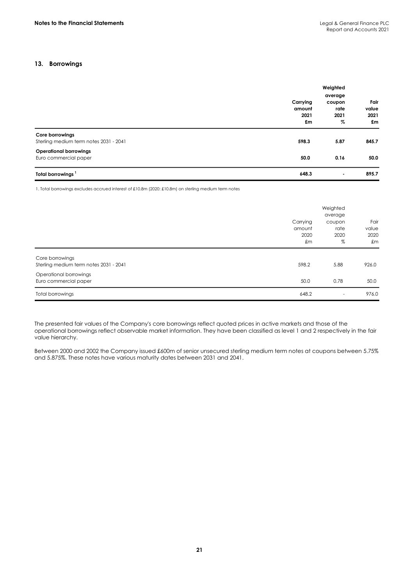# **13. Borrowings**

|                                                           |          | Weighted                    |               |  |
|-----------------------------------------------------------|----------|-----------------------------|---------------|--|
|                                                           |          | average                     |               |  |
|                                                           | Carrying | coupon<br>rate<br>2021<br>% | Fair<br>value |  |
|                                                           | amount   |                             |               |  |
|                                                           | 2021     |                             | 2021          |  |
|                                                           | £m       |                             | £m            |  |
| Core borrowings<br>Sterling medium term notes 2031 - 2041 | 598.3    | 5.87                        | 845.7         |  |
|                                                           |          |                             |               |  |
| <b>Operational borrowings</b>                             |          |                             |               |  |
| Euro commercial paper                                     | 50.0     | 0.16                        | 50.0          |  |
| Total borrowings <sup>1</sup>                             | 648.3    | ٠                           | 895.7         |  |

1. Total borrowings excludes accrued interest of £10.8m (2020: £10.8m) on sterling medium term notes

|                                                           |                                  | Weighted<br>average         |                             |  |
|-----------------------------------------------------------|----------------------------------|-----------------------------|-----------------------------|--|
|                                                           | Carrying<br>amount<br>2020<br>£m | coupon<br>rate<br>2020<br>% | Fair<br>value<br>2020<br>£m |  |
| Core borrowings<br>Sterling medium term notes 2031 - 2041 | 598.2                            | 5.88                        | 926.0                       |  |
| Operational borrowings<br>Euro commercial paper           | 50.0                             | 0.78                        | 50.0                        |  |
| <b>Total borrowings</b>                                   | 648.2                            | ٠                           | 976.0                       |  |

The presented fair values of the Company's core borrowings reflect quoted prices in active markets and those of the operational borrowings reflect observable market information. They have been classified as level 1 and 2 respectively in the fair value hierarchy.

Between 2000 and 2002 the Company issued £600m of senior unsecured sterling medium term notes at coupons between 5.75% and 5.875%. These notes have various maturity dates between 2031 and 2041.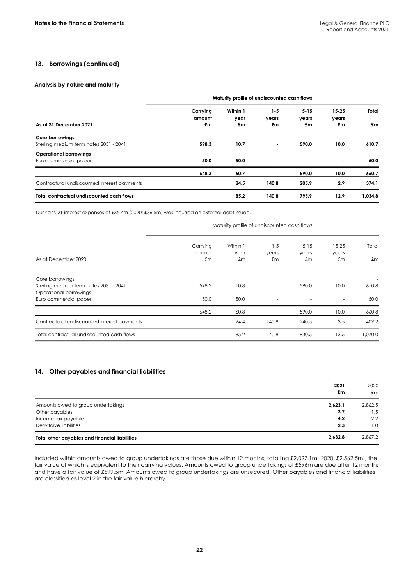# **13. Borrowings (continued)**

# **Analysis by nature and maturity**

|                                                           | Maturity profile of undiscounted cash flows |                        |                      |                         |                          |             |
|-----------------------------------------------------------|---------------------------------------------|------------------------|----------------------|-------------------------|--------------------------|-------------|
| As at 31 December 2021                                    | Carrying<br>amount<br>£m                    | Within 1<br>year<br>£m | $1-5$<br>years<br>£m | $5 - 15$<br>years<br>£m | $15 - 25$<br>years<br>£m | Total<br>£m |
| Core borrowings<br>Sterling medium term notes 2031 - 2041 | 598.3                                       | 10.7                   | $\blacksquare$       | 590.0                   | 10.0                     | 610.7       |
| <b>Operational borrowings</b><br>Euro commercial paper    | 50.0                                        | 50.0                   | $\blacksquare$       | $\blacksquare$          |                          | 50.0        |
|                                                           | 648.3                                       | 60.7                   |                      | 590.0                   | 10.0                     | 660.7       |
| Contractural undiscounted interest payments               |                                             | 24.5                   | 140.8                | 205.9                   | 2.9                      | 374.1       |
| Total contractual undiscounted cash flows                 |                                             | 85.2                   | 140.8                | 795.9                   | 12.9                     | 1.034.8     |

During 2021 interest expenses of £35.4m (2020: £36.5m) was incurred on external debt issued.

Maturity profile of undiscounted cash flows

| As at December 2020                         | Carrying<br>amount<br>£m | Within 1<br>year<br>£m | $1 - 5$<br>years<br>£m   | $5 - 15$<br>years<br>£m | $15 - 25$<br>years<br>£m | Total<br>£m |
|---------------------------------------------|--------------------------|------------------------|--------------------------|-------------------------|--------------------------|-------------|
| Core borrowings                             |                          |                        |                          |                         |                          |             |
| Sterling medium term notes 2031 - 2041      | 598.2                    | 10.8                   | $\overline{\phantom{a}}$ | 590.0                   | 10.0                     | 610.8       |
| Operational borrowings                      |                          |                        |                          |                         |                          |             |
| Euro commercial paper                       | 50.0                     | 50.0                   | $\overline{\phantom{a}}$ |                         | ٠                        | 50.0        |
|                                             | 648.2                    | 60.8                   |                          | 590.0                   | 10.0                     | 660.8       |
| Contractural undiscounted interest payments |                          | 24.4                   | 140.8                    | 240.5                   | 3.5                      | 409.2       |
| Total contractual undiscounted cash flows   |                          | 85.2                   | 140.8                    | 830.5                   | 13.5                     | 1,070.0     |

# **14. Other payables and financial liabilities**

|                                                | 2021<br>£m | 2020<br>£m |
|------------------------------------------------|------------|------------|
| Amounts owed to group undertakings             | 2,623.1    | 2.862.5    |
| Other payables                                 | 3.2        | 1.5        |
| Income tax payable                             | 4.2        | 2.2        |
| Derivitaive liabilities                        | 2.3        | 1.0        |
| Total other payables and financial liabilities | 2,632.8    | 2,867.2    |

Included within amounts owed to group undertakings are those due within 12 months, totalling £2,027.1m (2020: £2,562.5m), the fair value of which is equivalent to their carrying values. Amounts owed to group undertakings of £596m are due after 12 months and have a fair value of £599.5m. Amounts owed to group undertakings are unsecured. Other payables and financial liabilities are classified as level 2 in the fair value hierarchy.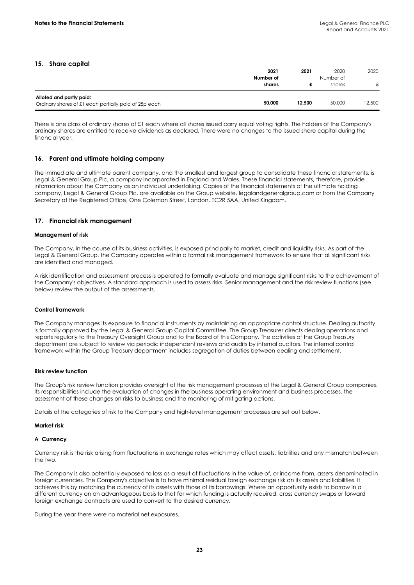# **15. Share capital**

|                                                                                   | 2021<br>Number of | 2021   | 2020<br>Number of | 2020   |
|-----------------------------------------------------------------------------------|-------------------|--------|-------------------|--------|
|                                                                                   | shares            |        | shares            | £      |
| Alloted and partly paid:<br>Ordinary shares of £1 each partially paid of 25p each | 50,000            | 12.500 | 50,000            | 12,500 |

There is one class of ordinary shares of £1 each where all shares issued carry equal voting rights. The holders of the Company's ordinary shares are entitled to receive dividends as declared. There were no changes to the issued share capital during the financial year.

# **16. Parent and ultimate holding company**

The immediate and ultimate parent company, and the smallest and largest group to consolidate these financial statements, is Legal & General Group Plc, a company incorporated in England and Wales. These financial statements, therefore, provide information about the Company as an individual undertaking. Copies of the financial statements of the ultimate holding company, Legal & General Group Plc, are available on the Group website, legalandgeneralgroup.com or from the Company Secretary at the Registered Office, One Coleman Street, London, EC2R 5AA, United Kingdom.

# **17. Financial risk management**

# **Management of risk**

The Company, in the course of its business activities, is exposed principally to market, credit and liquidity risks. As part of the Legal & General Group, the Company operates within a formal risk management framework to ensure that all significant risks are identified and managed.

A risk identification and assessment process is operated to formally evaluate and manage significant risks to the achievement of the Company's objectives. A standard approach is used to assess risks. Senior management and the risk review functions (see below) review the output of the assessments.

# **Control framework**

The Company manages its exposure to financial instruments by maintaining an appropriate control structure. Dealing authority is formally approved by the Legal & General Group Capital Committee. The Group Treasurer directs dealing operations and reports regularly to the Treasury Oversight Group and to the Board of this Company. The activities of the Group Treasury department are subject to review via periodic independent reviews and audits by internal auditors. The internal control framework within the Group Treasury department includes segregation of duties between dealing and settlement.

#### **Risk review function**

The Group's risk review function provides oversight of the risk management processes of the Legal & General Group companies. Its responsibilities include the evaluation of changes in the business operating environment and business processes, the assessment of these changes on risks to business and the monitoring of mitigating actions.

Details of the categories of risk to the Company and high-level management processes are set out below.

#### **Market risk**

# **A Currency**

Currency risk is the risk arising from fluctuations in exchange rates which may affect assets, liabilities and any mismatch between the two.

The Company is also potentially exposed to loss as a result of fluctuations in the value of, or income from, assets denominated in foreign currencies. The Company's objective is to have minimal residual foreign exchange risk on its assets and liabilities. It achieves this by matching the currency of its assets with those of its borrowings. Where an opportunity exists to borrow in a different currency on an advantageous basis to that for which funding is actually required, cross currency swaps or forward foreign exchange contracts are used to convert to the desired currency.

During the year there were no material net exposures.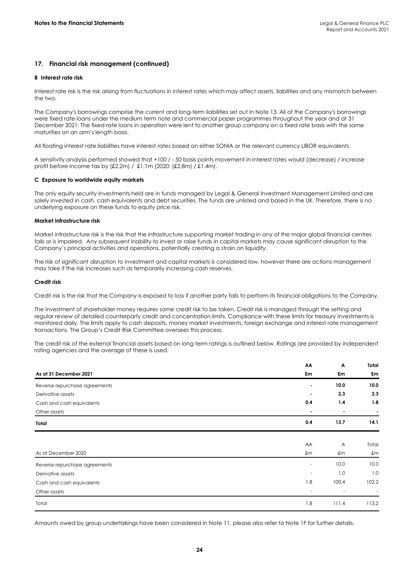# **17. Financial risk management (continued)**

### **B Interest rate risk**

Interest rate risk is the risk arising from fluctuations in interest rates which may affect assets, liabilities and any mismatch between the two.

The Company's borrowings comprise the current and long-term liabilities set out in Note 13. All of the Company's borrowings were fixed rate loans under the medium term note and commercial paper programmes throughout the year and at 31 December 2021. The fixed rate loans in operation were lent to another group company on a fixed rate basis with the same maturities on an arm's length basis.

All floating interest rate liabilities have interest rates based on either SONIA or the relevant currency LIBOR equivalents.

A sensitivity analysis performed showed that +100 / - 50 basis points movement in interest rates would (decrease) / increase profit before income tax by (£2.2m) / £1.1m (2020: (£2.8m) / £1.4m).

# **C Exposure to worldwide equity markets**

The only equity security investments held are in funds managed by Legal & General Investment Management Limited and are solely invested in cash, cash equivalents and debt securities. The funds are unlisted and based in the UK. Therefore, there is no underlying exposure on these funds to equity price risk.

# **Market infrastructure risk**

Market infrastructure risk is the risk that the infrastructure supporting market trading in any of the major global financial centres fails or is impaired. Any subsequent inability to invest or raise funds in capital markets may cause significant disruption to the Company's principal activities and operations, potentially creating a strain on liquidity.

The risk of significant disruption to investment and capital markets is considered low, however there are actions management may take if the risk increases such as temporarily increasing cash reserves.

#### **Credit risk**

Credit risk is the risk that the Company is exposed to loss if another party fails to perform its financial obligations to the Company.

The investment of shareholder money requires some credit risk to be taken. Credit risk is managed through the setting and regular review of detailed counterparty credit and concentration limits. Compliance with these limits for treasury investments is monitored daily. The limits apply to cash deposits, money market investments, foreign exchange and interest rate management transactions. The Group's Credit Risk Committee oversees this process.

The credit risk of the external financial assets based on long term ratings is outlined below. Ratings are provided by independent rating agencies and the average of these is used.

|                               | AA             | Α                       | Total          |
|-------------------------------|----------------|-------------------------|----------------|
| As at 31 December 2021        | £m             | £m                      | £m             |
| Reverse repurchase agreements | $\blacksquare$ | 10.0                    | 10.0           |
| Derivative assets             |                | 2.3                     | 2.3            |
| Cash and cash equivalents     | 0.4            | 1.4                     | 1.8            |
| Other assets                  | $\blacksquare$ | $\blacksquare$          | $\blacksquare$ |
| Total                         | 0.4            | 13.7                    | 14.1           |
|                               |                |                         |                |
|                               | AA             | $\overline{\mathsf{A}}$ | Total          |
| As at December 2020           | £m             | £m                      | £m             |
| Reverse repurchase agreements | ۰.             | 10.0                    | 10.0           |
| Derivative assets             |                | 1.0                     | 1.0            |
| Cash and cash equivalents     | 1.8            | 100.4                   | 102.2          |
| Other assets                  |                |                         |                |
| Total                         | 1.8            | 111.4                   | 113.2          |

Amounts owed by group undertakings have been considered in Note 11, please also refer to Note 1F for further details.